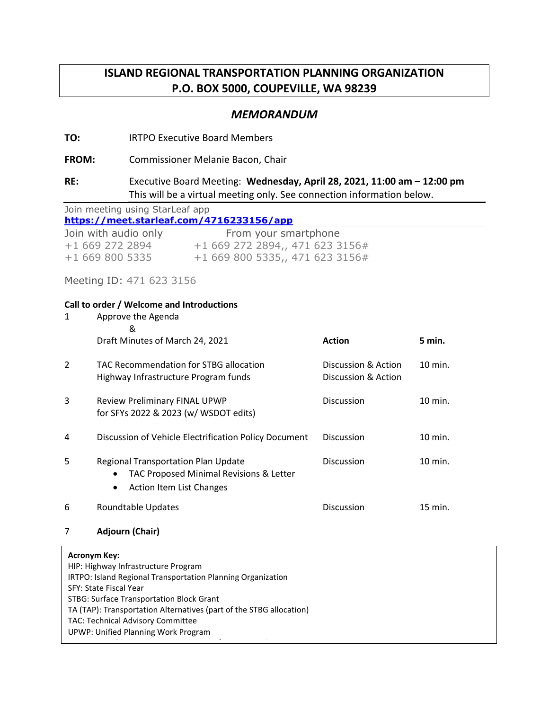# **ISLAND REGIONAL TRANSPORTATION PLANNING ORGANIZATION P.O. BOX 5000, COUPEVILLE, WA 98239**

## *MEMORANDUM*

### **TO:** IRTPO Executive Board Members

**FROM:** Commissioner Melanie Bacon, Chair

## **RE:** Executive Board Meeting: **Wednesday, April 28, 2021, 11:00 am – 12:00 pm** This will be a virtual meeting only. See connection information below.

| Join meeting using StarLeaf app          |                                 |  |  |
|------------------------------------------|---------------------------------|--|--|
| https://meet.starleaf.com/4716233156/app |                                 |  |  |
| Join with audio only                     | From your smartphone            |  |  |
| +1 669 272 2894                          | +1 669 272 2894,, 471 623 3156# |  |  |
| $+16698005335$                           | +1 669 800 5335,, 471 623 3156# |  |  |

Meeting ID: 471 623 3156

#### **Call to order / Welcome and Introductions**

| 1                                                          | Approve the Agenda<br>&                                                                                                               |                                            |           |
|------------------------------------------------------------|---------------------------------------------------------------------------------------------------------------------------------------|--------------------------------------------|-----------|
|                                                            | Draft Minutes of March 24, 2021                                                                                                       | <b>Action</b>                              | 5 min.    |
| $\mathcal{P}$                                              | TAC Recommendation for STBG allocation<br>Highway Infrastructure Program funds                                                        | Discussion & Action<br>Discussion & Action | 10 min.   |
| 3                                                          | Review Preliminary FINAL UPWP<br>for SFYs 2022 & 2023 (w/ WSDOT edits)                                                                | Discussion                                 | $10$ min. |
| 4                                                          | Discussion of Vehicle Electrification Policy Document                                                                                 | <b>Discussion</b>                          | 10 min.   |
| 5                                                          | <b>Regional Transportation Plan Update</b><br>TAC Proposed Minimal Revisions & Letter<br>$\bullet$<br><b>Action Item List Changes</b> | Discussion                                 | 10 min.   |
| 6                                                          | Roundtable Updates                                                                                                                    | Discussion                                 | 15 min.   |
| 7                                                          | <b>Adjourn (Chair)</b>                                                                                                                |                                            |           |
| <b>Acronym Key:</b><br>HIP: Highway Infrastructure Program |                                                                                                                                       |                                            |           |

IRTPO: Island Regional Transportation Planning Organization SFY: State Fiscal Year STBG: Surface Transportation Block Grant TA (TAP): Transportation Alternatives (part of the STBG allocation)

WSDOT: Washington State Department of Transportation

TAC: Technical Advisory Committee

UPWP: Unified Planning Work Program